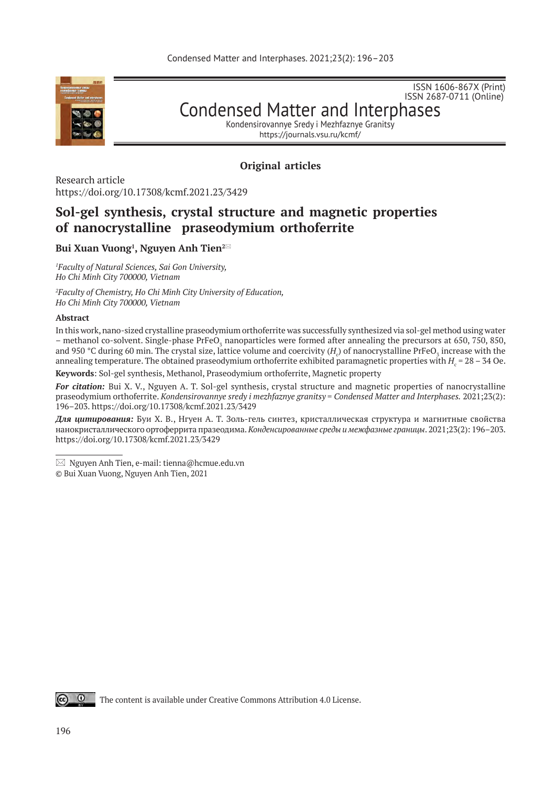

ISSN 1606-867Х (Print) ISSN 2687-0711 (Online)

Condensed Matter and Interphases

Kondensirovannye Sredy i Mezhfaznye Granitsy https://journals.vsu.ru/kcmf/

## **Original articles**

Research article https://doi.org/10.17308/kcmf.2021.23/3429

# **Sol-gel synthesis, crystal structure and magnetic properties of nanocrystalline praseodymium orthoferrite**

## **Bui Xuan Vuong1 , Nguyen Anh Tien2\***

*1 Faculty of Natural Sciences, Sai Gon University, Ho Chi Minh City 700000, Vietnam*

*2 Faculty of Chemistry, Ho Chi Minh City University of Education, Ho Chi Minh City 700000, Vietnam*

#### **Abstract**

In this work, nano-sized crystalline praseodymium orthoferrite was successfully synthesized via sol-gel method using water – methanol co-solvent. Single-phase PrFeO<sub>3</sub> nanoparticles were formed after annealing the precursors at 650, 750, 850, and 950 °C during 60 min. The crystal size, lattice volume and coercivity ( $H_c$ ) of nanocrystalline PrFeO $_{\rm 3}$  increase with the annealing temperature. The obtained praseodymium orthoferrite exhibited paramagnetic properties with  $H_{\rm c}$  = 28 – 34 Oe.

**Keywords**: Sol-gel synthesis, Methanol, Praseodymium orthoferrite, Magnetic property

*For citation:* Bui X. V., Nguyen A. T. Sol-gel synthesis, crystal structure and magnetic properties of nanocrystalline praseodymium orthoferrite. *Kondensirovannye sredy i mezhfaznye granitsy = Condensed Matter and Interphases.* 2021;23(2): 196–203. https://doi.org/10.17308/kcmf.2021.23/3429

*Для цитирования:* Буи Х. В., Нгуен А. Т. Золь-гель синтез, кристаллическая структура и магнитные свойства нанокристаллического ортоферрита празеодима. *Конденсированные среды и межфазные границы*. 2021;23(2): 196–203. https://doi.org/10.17308/kcmf.2021.23/3429

© Bui Xuan Vuong, Nguyen Anh Tien, 2021



The content is available under Creative Commons Attribution 4.0 License.

 $\boxtimes$  Nguyen Anh Tien, e-mail: tienna@hcmue.edu.vn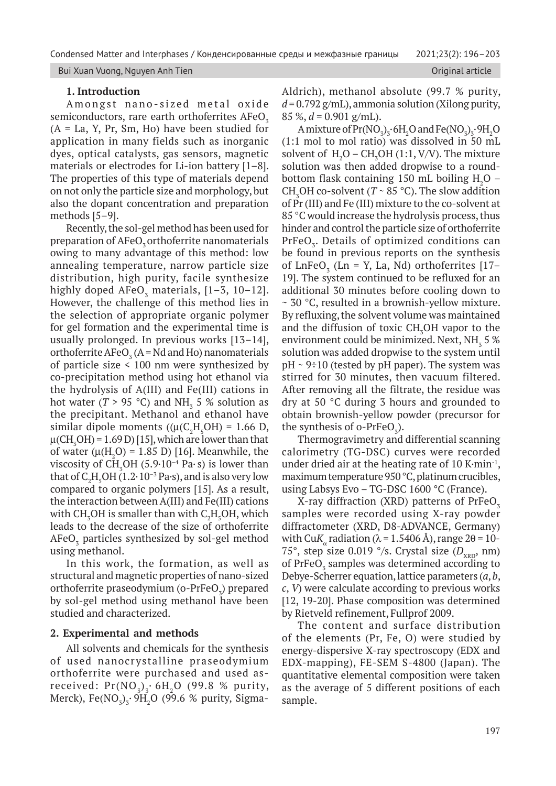#### Bui Xuan Vuong, Nguyen Anh Tien **Original article** Original article Communistic Communistic Communistic Communist

## **1. Introduction**

Amongst nano-sized metal oxide semiconductors, rare earth orthoferrites  $AFeO<sub>3</sub>$  $(A = La, Y, Pr, Sm, Ho)$  have been studied for application in many fields such as inorganic dyes, optical catalysts, gas sensors, magnetic materials or electrodes for Li-ion battery [1–8]. The properties of this type of materials depend on not only the particle size and morphology, but also the dopant concentration and preparation methods [5–9].

Recently, the sol-gel method has been used for preparation of AFeO<sub>z</sub> orthoferrite nanomaterials owing to many advantage of this method: low annealing temperature, narrow particle size distribution, high purity, facile synthesize highly doped  $\text{AFeO}_3$  materials, [1–3, 10–12]. However, the challenge of this method lies in the selection of appropriate organic polymer for gel formation and the experimental time is usually prolonged. In previous works [13–14], orthoferrite  $\text{AFeO}_3^{\bullet}$  (A = Nd and Ho) nanomaterials of particle size < 100 nm were synthesized by co-precipitation method using hot ethanol via the hydrolysis of A(III) and Fe(III) cations in hot water ( $T > 95$  °C) and NH<sub>3</sub> 5 % solution as the precipitant. Methanol and ethanol have similar dipole moments (( $\mu$ (C<sub>2</sub>H<sub>5</sub>OH) = 1.66 D,  $\mu$ (CH<sub>3</sub>OH) = 1.69 D) [15], which are lower than that of water  $(\mu(H_2O) = 1.85 \text{ D})$  [16]. Meanwhile, the viscosity of  $\text{CH}_3\text{OH}$  (5.9 $\cdot$ 10<sup>-4</sup> Pa $\cdot$ s) is lower than that of  $C_2H_5OH$  (1.2 $\cdot$  10<sup>-3</sup> Pa $\cdot$ s), and is also very low compared to organic polymers [15]. As a result, the interaction between A(III) and Fe(III) cations with CH<sub>3</sub>OH is smaller than with C<sub>2</sub>H<sub>5</sub>OH, which leads to the decrease of the size of orthoferrite  $\rm AFeO_{_3}$  particles synthesized by sol-gel method using methanol.

In this work, the formation, as well as structural and magnetic properties of nano-sized orthoferrite praseodymium (o- $PrFeO<sub>3</sub>$ ) prepared by sol-gel method using methanol have been studied and characterized.

## **2. Experimental and methods**

All solvents and chemicals for the synthesis of used nanocrystalline praseodymium orthoferrite were purchased and used asreceived:  $Pr(NO_3)$ <sup>2</sup> 6H<sub>2</sub>O (99.8 % purity, Merck), Fe(NO $_3$ ) $_3$ · 9H $_2$ O (99.6 % purity, SigmaAldrich), methanol absolute (99.7 % purity,  $d = 0.792$  g/mL), ammonia solution (Xilong purity, 85 %, *d* = 0.901 g/mL).

A mixture of  $Pr(NO_3)_3 \cdot 6H_2O$  and  $Fe(NO_3)_3 \cdot 9H_2O$ (1:1 mol to mol ratio) was dissolved in 50 mL solvent of  $H_2O - CH_3OH (1:1, V/V)$ . The mixture solution was then added dropwise to a roundbottom flask containing 150 mL boiling  $H_2O$  – CH<sub>3</sub>OH co-solvent ( $T \sim 85$  °C). The slow addition of Pr (III) and Fe (III) mixture to the co-solvent at 85 °C would increase the hydrolysis process, thus hinder and control the particle size of orthoferrite  $\mathrm{PrFeO}_{3}$ . Details of optimized conditions can be found in previous reports on the synthesis of LnFe $O_3$  (Ln = Y, La, Nd) orthoferrites [17– 19]. The system continued to be refluxed for an additional 30 minutes before cooling down to ~ 30 °C, resulted in a brownish-yellow mixture. By refluxing, the solvent volume was maintained and the diffusion of toxic  $CH<sub>3</sub>OH$  vapor to the environment could be minimized. Next, NH $_{\rm 3}$  5 % solution was added dropwise to the system until  $pH \sim 9\div 10$  (tested by pH paper). The system was stirred for 30 minutes, then vacuum filtered. After removing all the filtrate, the residue was dry at 50 °C during 3 hours and grounded to obtain brownish-yellow powder (precursor for the synthesis of o-PrFe $O_3$ ).

Thermogravimetry and differential scanning calorimetry (TG-DSC) curves were recorded under dried air at the heating rate of 10 K $\cdot$ min $\cdot$ <sup>1</sup>, maximum temperature 950 °C, platinum crucibles, using Labsys Evo – TG-DSC 1600 °C (France).

X-ray diffraction (XRD) patterns of  $PrFeO<sub>z</sub>$ samples were recorded using X-ray powder diffractometer (XRD, D8-ADVANCE, Germany) with Cu*K*<sub>a</sub> radiation ( $\lambda$  = 1.5406 Å), range 2 $\theta$  = 10-75°, step size 0.019 °/s. Crystal size  $(D_{\text{vnn}})$  nm) of PrFe $O_3$  samples was determined according to Debye-Scherrer equation, lattice parameters (*a*, *b*, *c*, *V*) were calculate according to previous works [12, 19-20]. Phase composition was determined by Rietveld refinement, Fullprof 2009.

The content and surface distribution of the elements (Pr, Fe, O) were studied by energy-dispersive X-ray spectroscopy (EDX and EDX-mapping), FE-SEM S-4800 (Japan). The quantitative elemental composition were taken as the average of 5 different positions of each sample.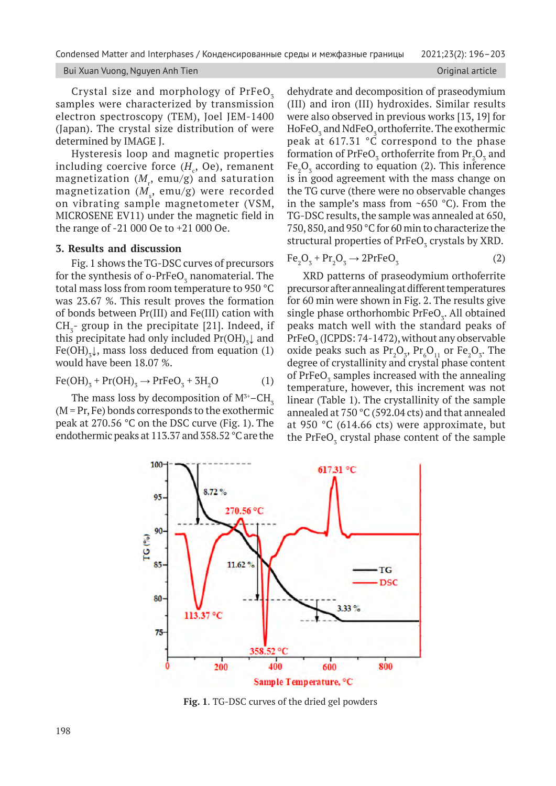#### Bui Xuan Vuong, Nguyen Anh Tien **Original article** Original article

Crystal size and morphology of PrFeO<sub>3</sub> samples were characterized by transmission electron spectroscopy (TEM), Joel JEM-1400 (Japan). The crystal size distribution of were determined by IMAGE J.

Hysteresis loop and magnetic properties including coercive force  $(H_c, Oe)$ , remanent magnetization  $(M_{\rm r},\,\rm emu/g)$  and saturation  $magnetization$   $(M_{s},\>emu/g)$  were recorded on vibrating sample magnetometer (VSM, MICROSENE EV11) under the magnetic field in the range of -21 000 Oe to +21 000 Oe.

### **3. Results and discussion**

Fig. 1 shows the TG-DSC curves of precursors for the synthesis of o-PrFeO<sub>3</sub> nanomaterial. The total mass loss from room temperature to 950 °C was 23.67 %. This result proves the formation of bonds between Pr(III) and Fe(III) cation with  $CH_{3}$ - group in the precipitate [21]. Indeed, if this precipitate had only included  $Pr(OH)_{3}$  and Fe(OH)<sub>3</sub> $\downarrow$ , mass loss deduced from equation (1) would have been 18.07 %.

$$
Fe(OH)3 + Pr(OH)3 \rightarrow PrFeO3 + 3H2O
$$
 (1)

The mass loss by decomposition of  $M^{3+}$ –CH<sub>3</sub>  $(M = Pr, Fe)$  bonds corresponds to the exothermic peak at 270.56 °C on the DSC curve (Fig. 1). The endothermic peaks at 113.37 and 358.52 °C are the dehydrate and decomposition of praseodymium (III) and iron (III) hydroxides. Similar results were also observed in previous works [13, 19] for HoFe $O_3$  and NdFe $O_3$  orthoferrite. The exothermic peak at 617.31 °C correspond to the phase formation of PrFe $O_3$  orthoferrite from  $Pr_2O_3$  and  $Fe<sub>2</sub>O<sub>3</sub>$  according to equation (2). This inference is in good agreement with the mass change on the TG curve (there were no observable changes in the sample's mass from  $\sim$ 650 °C). From the TG‑DSC results, the sample was annealed at 650, 750, 850, and 950 °C for 60 min to characterize the structural properties of  $PrFeO<sub>3</sub>$  crystals by XRD.

$$
Fe2O3 + Pr2O3 \rightarrow 2PrFeO3
$$
 (2)

XRD patterns of praseodymium orthoferrite precursor after annealing at different temperatures for 60 min were shown in Fig. 2. The results give single phase orthorhombic  $PrFeO<sub>3</sub>$ . All obtained peaks match well with the standard peaks of  $\mathrm{PrFeO}_{3}\left(\mathrm{JCPDS}\:;74\text{-}1472\right)$ , without any observable oxide peaks such as  $Pr_2O_3$ ,  $Pr_6O_{11}$  or  $Fe_2O_3$ . The degree of crystallinity and crystal phase content of PrFe $O_3$  samples increased with the annealing temperature, however, this increment was not linear (Table 1). The crystallinity of the sample annealed at 750 °C (592.04 cts) and that annealed at 950 °C (614.66 cts) were approximate, but the  $PrFeO<sub>3</sub>$  crystal phase content of the sample



**Fig. 1**. TG-DSC curves of the dried gel powders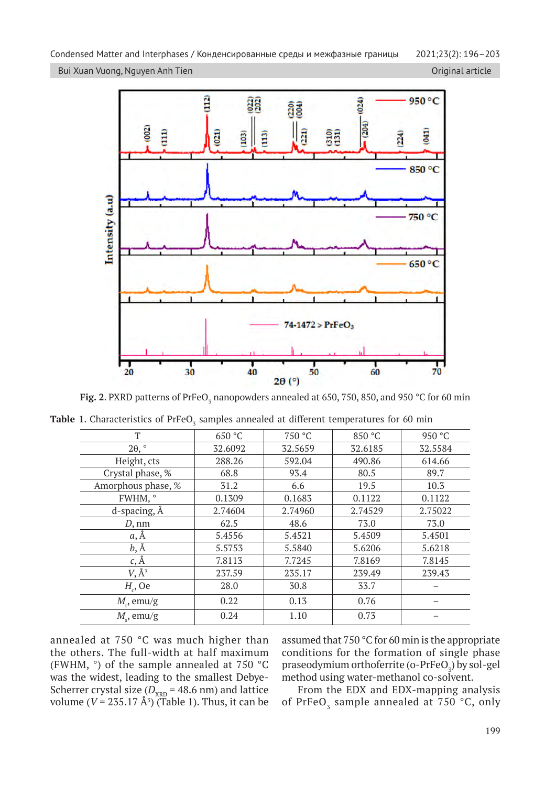Bui Xuan Vuong, Nguyen Anh Tien **Original article** Original article Communistic Communistic Communistic Communist



**Fig. 2**. PXRD patterns of PrFeO<sub>3</sub> nanopowders annealed at 650, 750, 850, and 950 °C for 60 min

|  |  | <b>Table 1.</b> Characteristics of PrFeO <sub>3</sub> samples annealed at different temperatures for 60 min |  |  |  |  |  |  |  |  |  |
|--|--|-------------------------------------------------------------------------------------------------------------|--|--|--|--|--|--|--|--|--|
|--|--|-------------------------------------------------------------------------------------------------------------|--|--|--|--|--|--|--|--|--|

| T                   | 650 °C  | 750 °C  | 850 °C  | 950 °C  |
|---------------------|---------|---------|---------|---------|
| $2\theta$ , $\circ$ | 32.6092 | 32.5659 | 32.6185 | 32.5584 |
| Height, cts         | 288.26  | 592.04  | 490.86  | 614.66  |
| Crystal phase, %    | 68.8    | 93.4    | 80.5    | 89.7    |
| Amorphous phase, %  | 31.2    | 6.6     | 19.5    | 10.3    |
| FWHM, °             | 0.1309  | 0.1683  | 0.1122  | 0.1122  |
| d-spacing, Å        | 2.74604 | 2.74960 | 2.74529 | 2.75022 |
| $D, \text{nm}$      | 62.5    | 48.6    | 73.0    | 73.0    |
| $a, \AA$            | 5.4556  | 5.4521  | 5.4509  | 5.4501  |
| $b, \AA$            | 5.5753  | 5.5840  | 5.6206  | 5.6218  |
| $c, \AA$            | 7.8113  | 7.7245  | 7.8169  | 7.8145  |
| $V, \AA^3$          | 237.59  | 235.17  | 239.49  | 239.43  |
| $H_c$ , Oe          | 28.0    | 30.8    | 33.7    |         |
| $M_{r}$ , emu/g     | 0.22    | 0.13    | 0.76    |         |
| $M_{\rm s}$ , emu/g | 0.24    | 1.10    | 0.73    |         |

annealed at 750 °C was much higher than the others. The full-width at half maximum (FWHM, °) of the sample annealed at 750 °C was the widest, leading to the smallest Debye-Scherrer crystal size  $(D_{\text{XRD}} = 48.6 \text{ nm})$  and lattice volume  $(V = 235.17 \text{ Å}^3)$  (Table 1). Thus, it can be assumed that 750 °C for 60 min is the appropriate conditions for the formation of single phase praseodymium orthoferrite (o-PrFeO<sub>3</sub>) by sol-gel method using water-methanol co-solvent.

From the EDX and EDX-mapping analysis of PrFeO<sub>3</sub> sample annealed at  $750^{\circ}$ C, only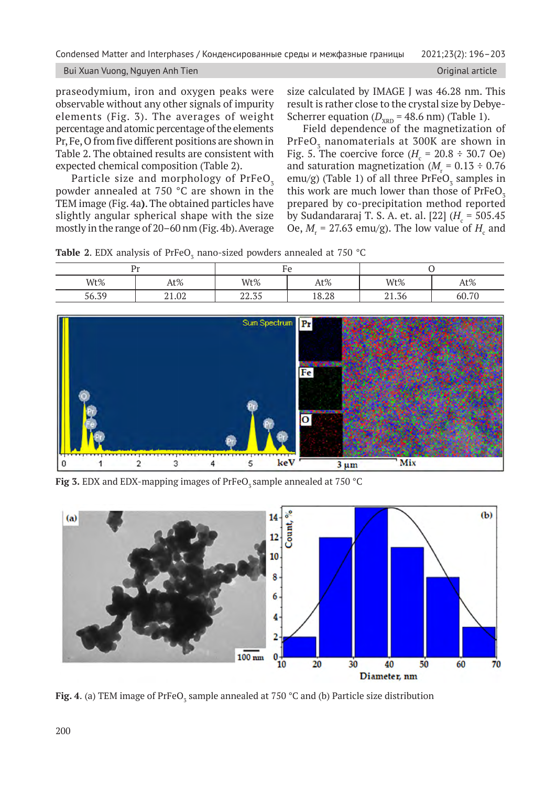Bui Xuan Vuong, Nguyen Anh Tien **Original article** Original article

praseodymium, iron and oxygen peaks were observable without any other signals of impurity elements (Fig. 3). The averages of weight percentage and atomic percentage of the elements Pr, Fe, O from five different positions are shown in Table 2. The obtained results are consistent with expected chemical composition (Table 2).

Particle size and morphology of  $PrFeO<sub>z</sub>$ powder annealed at 750 °C are shown in the TEM image (Fig. 4a**)**. The obtained particles have slightly angular spherical shape with the size mostly in the range of 20–60 nm (Fig. 4b). Average size calculated by IMAGE J was 46.28 nm. This result is rather close to the crystal size by Debye-Scherrer equation ( $D_{\text{XRD}}$  = 48.6 nm) (Table 1).

Field dependence of the magnetization of PrFeO $_{{\scriptscriptstyle 3}}$  nanomaterials at 300K are shown in Fig. 5. The coercive force  $(H_{\rm c} = 20.8 \div 30.7 \text{ Oe})$ and saturation magnetization ( $M_r$  = 0.13 ÷ 0.76 emu/g) (Table 1) of all three  $PrFeO<sub>3</sub>$  samples in this work are much lower than those of  $PrFeO<sub>z</sub>$ prepared by co-precipitation method reported by Sudandararaj T. S. A. et. al. [22] (H<sub>c</sub> = 505.45 Oe,  $M_r$  = 27.63 emu/g). The low value of  $H_c$  and

|  |  |  |  |  | <b>Table 2.</b> EDX analysis of PrFeO <sub>z</sub> nano-sized powders annealed at 750 °C |  |  |  |  |  |
|--|--|--|--|--|------------------------------------------------------------------------------------------|--|--|--|--|--|
|--|--|--|--|--|------------------------------------------------------------------------------------------|--|--|--|--|--|

|       | ה בי  |              | ப     |                                    |       |  |  |
|-------|-------|--------------|-------|------------------------------------|-------|--|--|
| Wt%   | At%   | Wt%          | At%   | Wt%                                | At%   |  |  |
| 56.39 | 21.02 | 227<br>44.JJ | 18.28 | 7 <sup>7</sup><br>$n_{1}$<br>41.56 | 60.70 |  |  |



**Fig 3.** EDX and EDX-mapping images of PrFeO<sub>z</sub> sample annealed at 750 °C



**Fig. 4**. (a) TEM image of PrFeO $_3$  sample annealed at 750 °C and (b) Particle size distribution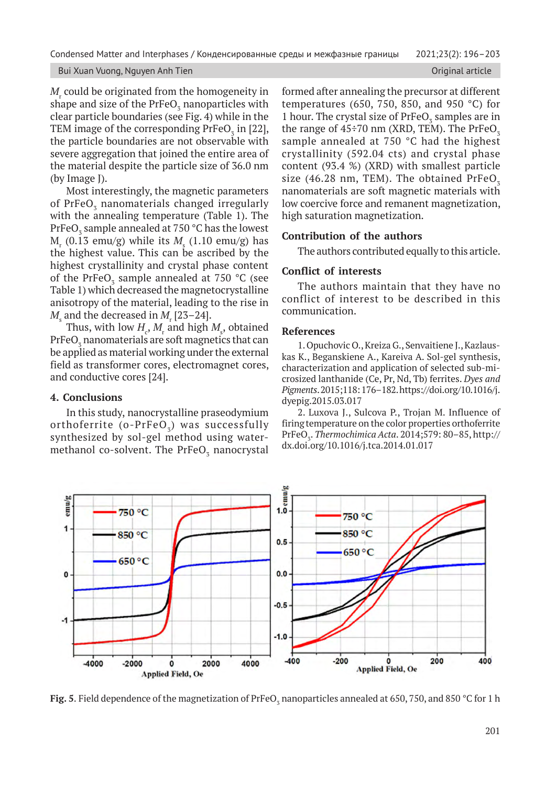Condensed Matter and Interphases / Конденсированные среды и межфазные границы 2021;23(2): 196–203

#### Bui Xuan Vuong, Nguyen Anh Tien **Original article** Original article Communistic Communistic Communistic Communist

 $M_{\rm r}$  could be originated from the homogeneity in shape and size of the PrFeO<sub>3</sub> nanoparticles with clear particle boundaries (see Fig. 4) while in the TEM image of the corresponding  $PrFeO<sub>3</sub>$  in [22], the particle boundaries are not observable with severe aggregation that joined the entire area of the material despite the particle size of 36.0 nm (by Image J).

Most interestingly, the magnetic parameters of PrFe $\mathrm{O}_\mathrm{3}$  nanomaterials changed irregularly with the annealing temperature (Table 1). The PrFeO $_3$  sample annealed at 750 °C has the lowest  $M_r$  (0.13 emu/g) while its  $M_s$  (1.10 emu/g) has the highest value. This can be ascribed by the highest crystallinity and crystal phase content of the PrFeO<sub>3</sub> sample annealed at 750 °C (see Table 1) which decreased the magnetocrystalline anisotropy of the material, leading to the rise in  $M_{\rm_s}$  and the decreased in  $M_{\rm_r}$  [23–24].

Thus, with low  $H_c$ ,  $M_r$  and high  $M_s$ , obtained PrFeO $_{\rm 3}$  nanomaterials are soft magnetics that can be applied as material working under the external field as transformer cores, electromagnet cores, and conductive cores [24].

## **4. Conclusions**

In this study, nanocrystalline praseodymium orthoferrite (o- $PrFeO<sub>z</sub>$ ) was successfully synthesized by sol-gel method using watermethanol co-solvent. The  $\mathrm{PrFeO}_{\mathbf{\bar{3}}}$  nanocrystal formed after annealing the precursor at different temperatures (650, 750, 850, and 950 °C) for 1 hour. The crystal size of  $PrFeO<sub>3</sub>$  samples are in the range of  $45\div 70$  nm (XRD, TEM). The PrFeO<sub>7</sub> sample annealed at 750 °C had the highest crystallinity (592.04 cts) and crystal phase content (93.4 %) (XRD) with smallest particle size (46.28 nm, TEM). The obtained  $PrFeO<sub>z</sub>$ nanomaterials are soft magnetic materials with low coercive force and remanent magnetization, high saturation magnetization.

## **Contribution of the authors**

The authors contributed equally to this article.

## **Conflict of interests**

The authors maintain that they have no conflict of interest to be described in this communication.

## **References**

1. Opuchovic O., Kreiza G., Senvaitiene J., Kazlauskas K., Beganskiene A., Kareiva A. Sol-gel synthesis, characterization and application of selected sub-microsized lanthanide (Ce, Pr, Nd, Tb) ferrites. *Dyes and Pigments*. 2015;118: 176–182. https://doi.org/10.1016/j. dyepig.2015.03.017

2. Luxova J., Sulcova P., Trojan M. Influence of firing temperature on the color properties orthoferrite PrFeO3 . *Thermochimica Acta*. 2014;579: 80–85, http:// dx.doi.org/10.1016/j.tca.2014.01.017



**Fig. 5**. Field dependence of the magnetization of PrFeO<sub>3</sub> nanoparticles annealed at 650, 750, and 850 °C for 1 h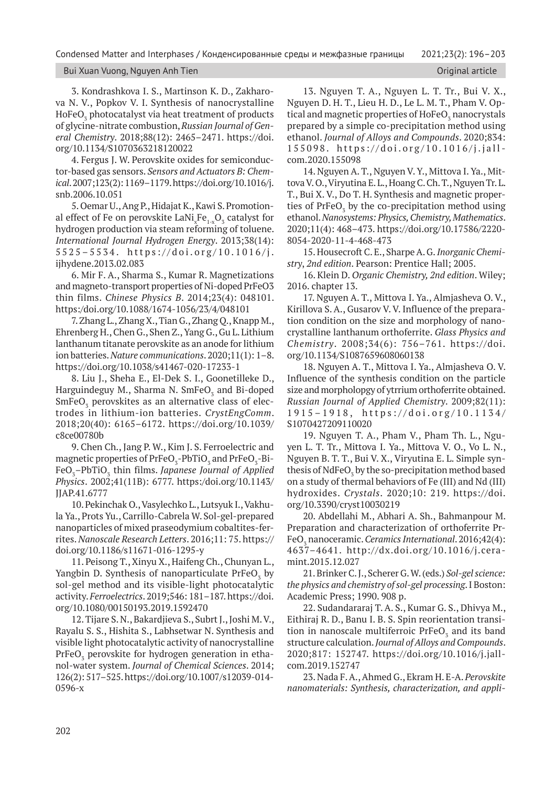Condensed Matter and Interphases / Конденсированные среды и межфазные границы 2021;23(2): 196–203

#### Bui Xuan Vuong, Nguyen Anh Tien **Original article** Original article

3. Kondrashkova I. S., Martinson K. D., Zakharova N. V., Popkov V. I. Synthesis of nanocrystalline HoFe $\mathrm{O}_\mathrm{\bar{3}}$  photocatalyst via heat treatment of products of glycine-nitrate combustion, *Russian Journal of General Chemistry*. 2018;88(12): 2465–2471. https://doi. org/10.1134/S1070363218120022

4. Fergus J. W. Perovskite oxides for semiconductor-based gas sensors. *Sensors and Actuators B: Chemical*. 2007;123(2): 1169–1179. https://doi.org/10.1016/j. snb.2006.10.051

5. Oemar U., Ang P., Hidajat K., Kawi S. Promotional effect of Fe on perovskite LaNi $_{\mathrm{x}}$ Fe $_{\mathrm{1-x}}\mathrm{O}_{_{\mathrm{3}}}$  catalyst for hydrogen production via steam reforming of toluene. *International Journal Hydrogen Energy*. 2013;38(14): 5525–5534. https://doi.org/10.1016/j. ijhydene.2013.02.083

6. Mir F. A., Sharma S., Kumar R. Magnetizations and magneto-transport properties of Ni-doped PrFeO3 thin films. *Chinese Physics B*. 2014;23(4): 048101. https:/doi.org/10.1088/1674-1056/23/4/048101

7. Zhang L., Zhang X., Tian G., Zhang Q., Knapp M., Ehrenberg H., Chen G., Shen Z., Yang G., Gu L. Lithium lanthanum titanate perovskite as an anode for lithium ion batteries. *Nature communications*. 2020;11(1): 1–8. https://doi.org/10.1038/s41467-020-17233-1

8. Liu J., Sheha E., El-Dek S. I., Goonetilleke D., Harguindeguy M., Sharma N. SmFe $\rm O_3$  and Bi-doped  $\mathsf{SmFeO}_3$  perovskites as an alternative class of electrodes in lithium-ion batteries. *CrystEngComm*. 2018;20(40): 6165–6172. https://doi.org/10.1039/ c8ce00780b

9. Chen Ch., Jang P. W., Kim J. S. Ferroelectric and magnetic properties of PrFeO<sub>3</sub>-PbTiO<sub>3</sub> and PrFeO<sub>3</sub>-Bi-FeO<sub>3</sub>–PbTiO<sub>3</sub> thin films. *Japanese Journal of Applied Physics*. 2002;41(11B): 6777. https:/doi.org/10.1143/ JJAP.41.6777

10. Pekinchak O., Vasylechko L., Lutsyuk I., Vakhula Ya., Prots Yu., Carrillo-Cabrela W. Sol-gel-prepared nanoparticles of mixed praseodymium cobaltites-ferrites. *Nanoscale Research Letters*. 2016;11: 75. https:// doi.org/10.1186/s11671-016-1295-y

11. Peisong T., Xinyu X., Haifeng Ch., Chunyan L., Yangbin D. Synthesis of nanoparticulate  $\mathrm{PrFeO}_{\mathbf{\bar{3}}}$  by sol-gel method and its visible-light photocatalytic activity. *Ferroelectrics*. 2019;546: 181–187. https://doi. org/10.1080/00150193.2019.1592470

12. Tijare S. N., Bakardjieva S., Subrt J., Joshi M. V., Rayalu S. S., Hishita S., Labhsetwar N. Synthesis and visible light photocatalytic activity of nanocrystalline PrFeO $_{{\scriptscriptstyle 3}}$  perovskite for hydrogen generation in ethanol-water system. *Journal of Chemical Sciences*. 2014; 126(2): 517–525. https://doi.org/10.1007/s12039-014- 0596-x

13. Nguyen T. A., Nguyen L. T. Tr., Bui V. X., Nguyen D. H. T., Lieu H. D., Le L. M. T., Pham V. Optical and magnetic properties of  $\mathrm{HoFeO}_{\mathfrak{z}}$  nanocrystals prepared by a simple co-precipitation method using ethanol. *Journal of Alloys and Compounds*. 2020;834: 155098. https://doi.org/10.1016/j.jall com.2020.155098

14. Nguyen A. T., Nguyen V. Y., Mittova I. Ya., Mittova V. O., Viryutina E. L., Hoang C. Ch. T., Nguyen Tr. L. T., Bui X. V., Do T. H. Synthesis and magnetic properties of  $PrFeO<sub>3</sub>$  by the co-precipitation method using ethanol. *Nanosystems: Physics, Chemistry, Mathematics*. 2020;11(4): 468–473. https://doi.org/10.17586/2220- 8054-2020-11-4-468-473

15. Housecroft C. E., Sharpe A. G. *Inorganic Chemistry*, *2nd edition*. Pearson: Prentice Hall; 2005.

16. Klein D. *Organic Chemistry, 2nd edition*. Wiley; 2016. chapter 13.

17. Nguyen A. T., Mittova I. Ya., Almjasheva O. V., Kirillova S. A., Gusarov V. V. Influence of the preparation condition on the size and morphology of nanocrystalline lanthanum orthoferrite. *Glass Physics and Chemistry*. 2008;34(6): 756–761. https://doi. org/10.1134/S1087659608060138

18. Nguyen A. T., Mittova I. Ya., Almjasheva O. V. Influence of the synthesis condition on the particle size and morpholopgy of ytrrium orthoferrite obtained. *Russian Journal of Applied Chemistry*. 2009;82(11): 1915–1918, https://doi.org/10.1134/ S1070427209110020

19. Nguyen T. A., Pham V., Pham Th. L., Nguyen L. T. Tr., Mittova I. Ya., Mittova V. O., Vo L. N., Nguyen B. T. T., Bui V. X., Viryutina E. L. Simple synthesis of NdFeO $_3$  by the so-precipitation method based on a study of thermal behaviors of Fe (III) and Nd (III) hydroxides. *Crystals*. 2020;10: 219. https://doi. org/10.3390/cryst10030219

20. Abdellahi M., Abhari A. Sh., Bahmanpour M. Preparation and characterization of orthoferrite Pr-FeO<sub>3</sub> nanoceramic. *Ceramics International*. 2016;42(4): 4637–4641. http://dx.doi.org/10.1016/j.ceramint.2015.12.027

21. Brinker C. J., Scherer G. W. (eds.) *Sol-gel science: the physics and chemistry of sol-gel processing*. I Boston: Academic Press; 1990. 908 p.

22. Sudandararaj T. A. S., Kumar G. S., Dhivya M., Eithiraj R. D., Banu I. B. S. Spin reorientation transition in nanoscale multiferroic  $PrFeO<sub>3</sub>$  and its band structure calculation. *Journal of Alloys and Compounds*. 2020;817: 152747. https://doi.org/10.1016/j.jallcom.2019.152747

23. Nada F. A., Ahmed G., Ekram H. E-A. *Perovskite nanomaterials: Synthesis, characterization, and appli-*